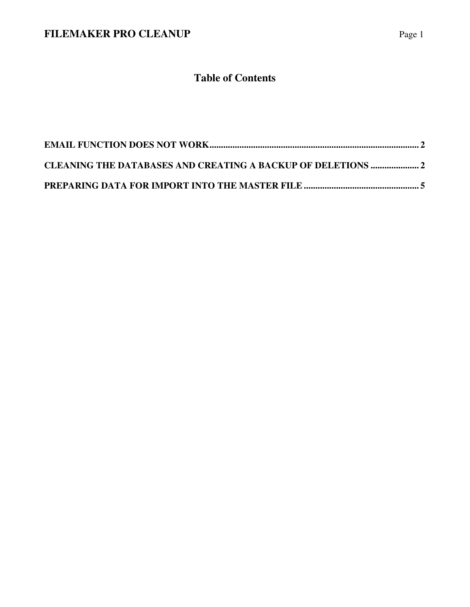# **Table of Contents**

| <b>CLEANING THE DATABASES AND CREATING A BACKUP OF DELETIONS  2</b> |  |
|---------------------------------------------------------------------|--|
|                                                                     |  |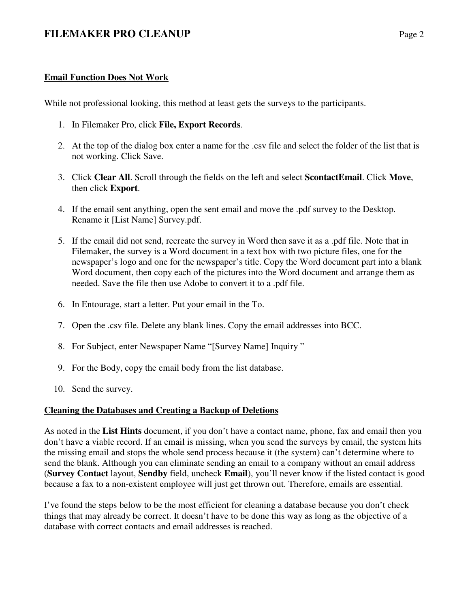### **Email Function Does Not Work**

While not professional looking, this method at least gets the surveys to the participants.

- 1. In Filemaker Pro, click **File, Export Records**.
- 2. At the top of the dialog box enter a name for the .csv file and select the folder of the list that is not working. Click Save.
- 3. Click **Clear All**. Scroll through the fields on the left and select **ScontactEmail**. Click **Move**, then click **Export**.
- 4. If the email sent anything, open the sent email and move the .pdf survey to the Desktop. Rename it [List Name] Survey.pdf.
- 5. If the email did not send, recreate the survey in Word then save it as a .pdf file. Note that in Filemaker, the survey is a Word document in a text box with two picture files, one for the newspaper's logo and one for the newspaper's title. Copy the Word document part into a blank Word document, then copy each of the pictures into the Word document and arrange them as needed. Save the file then use Adobe to convert it to a .pdf file.
- 6. In Entourage, start a letter. Put your email in the To.
- 7. Open the .csv file. Delete any blank lines. Copy the email addresses into BCC.
- 8. For Subject, enter Newspaper Name "[Survey Name] Inquiry "
- 9. For the Body, copy the email body from the list database.
- 10. Send the survey.

#### **Cleaning the Databases and Creating a Backup of Deletions**

As noted in the **List Hints** document, if you don't have a contact name, phone, fax and email then you don't have a viable record. If an email is missing, when you send the surveys by email, the system hits the missing email and stops the whole send process because it (the system) can't determine where to send the blank. Although you can eliminate sending an email to a company without an email address (**Survey Contact** layout, **Sendby** field, uncheck **Email**), you'll never know if the listed contact is good because a fax to a non-existent employee will just get thrown out. Therefore, emails are essential.

I've found the steps below to be the most efficient for cleaning a database because you don't check things that may already be correct. It doesn't have to be done this way as long as the objective of a database with correct contacts and email addresses is reached.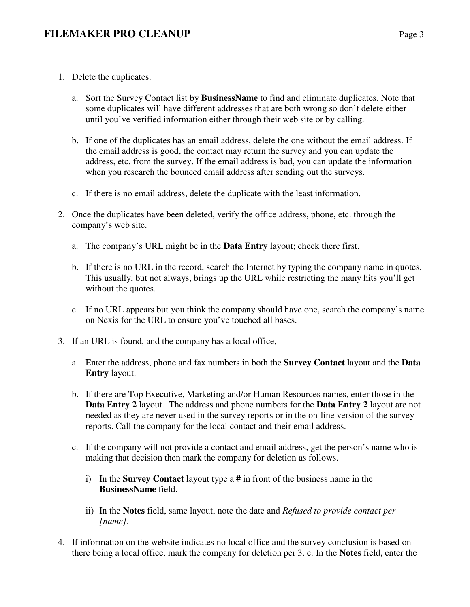- 1. Delete the duplicates.
	- a. Sort the Survey Contact list by **BusinessName** to find and eliminate duplicates. Note that some duplicates will have different addresses that are both wrong so don't delete either until you've verified information either through their web site or by calling.
	- b. If one of the duplicates has an email address, delete the one without the email address. If the email address is good, the contact may return the survey and you can update the address, etc. from the survey. If the email address is bad, you can update the information when you research the bounced email address after sending out the surveys.
	- c. If there is no email address, delete the duplicate with the least information.
- 2. Once the duplicates have been deleted, verify the office address, phone, etc. through the company's web site.
	- a. The company's URL might be in the **Data Entry** layout; check there first.
	- b. If there is no URL in the record, search the Internet by typing the company name in quotes. This usually, but not always, brings up the URL while restricting the many hits you'll get without the quotes.
	- c. If no URL appears but you think the company should have one, search the company's name on Nexis for the URL to ensure you've touched all bases.
- 3. If an URL is found, and the company has a local office,
	- a. Enter the address, phone and fax numbers in both the **Survey Contact** layout and the **Data Entry** layout.
	- b. If there are Top Executive, Marketing and/or Human Resources names, enter those in the **Data Entry 2** layout. The address and phone numbers for the **Data Entry 2** layout are not needed as they are never used in the survey reports or in the on-line version of the survey reports. Call the company for the local contact and their email address.
	- c. If the company will not provide a contact and email address, get the person's name who is making that decision then mark the company for deletion as follows.
		- i) In the **Survey Contact** layout type a **#** in front of the business name in the **BusinessName** field.
		- ii) In the **Notes** field, same layout, note the date and *Refused to provide contact per [name]*.
- 4. If information on the website indicates no local office and the survey conclusion is based on there being a local office, mark the company for deletion per 3. c. In the **Notes** field, enter the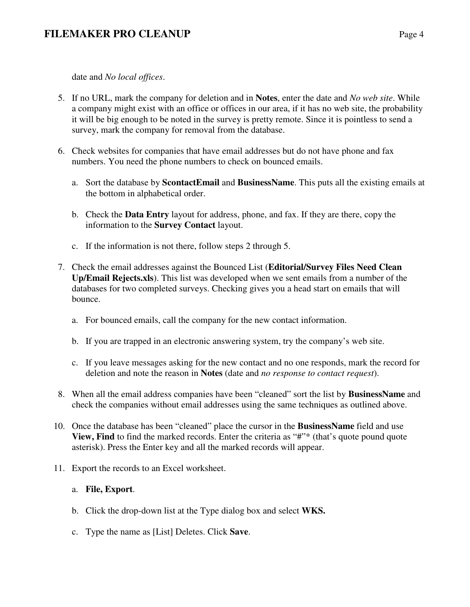# **FILEMAKER PRO CLEANUP** Page 4

date and *No local offices*.

- 5. If no URL, mark the company for deletion and in **Notes**, enter the date and *No web site*. While a company might exist with an office or offices in our area, if it has no web site, the probability it will be big enough to be noted in the survey is pretty remote. Since it is pointless to send a survey, mark the company for removal from the database.
- 6. Check websites for companies that have email addresses but do not have phone and fax numbers. You need the phone numbers to check on bounced emails.
	- a. Sort the database by **ScontactEmail** and **BusinessName**. This puts all the existing emails at the bottom in alphabetical order.
	- b. Check the **Data Entry** layout for address, phone, and fax. If they are there, copy the information to the **Survey Contact** layout.
	- c. If the information is not there, follow steps 2 through 5.
- 7. Check the email addresses against the Bounced List (**Editorial/Survey Files Need Clean Up/Email Rejects.xls**). This list was developed when we sent emails from a number of the databases for two completed surveys. Checking gives you a head start on emails that will bounce.
	- a. For bounced emails, call the company for the new contact information.
	- b. If you are trapped in an electronic answering system, try the company's web site.
	- c. If you leave messages asking for the new contact and no one responds, mark the record for deletion and note the reason in **Notes** (date and *no response to contact request*).
- 8. When all the email address companies have been "cleaned" sort the list by **BusinessName** and check the companies without email addresses using the same techniques as outlined above.
- 10. Once the database has been "cleaned" place the cursor in the **BusinessName** field and use **View, Find** to find the marked records. Enter the criteria as "#"\* (that's quote pound quote asterisk). Press the Enter key and all the marked records will appear.
- 11. Export the records to an Excel worksheet.

## a. **File, Export**.

- b. Click the drop-down list at the Type dialog box and select **WKS.**
- c. Type the name as [List] Deletes. Click **Save**.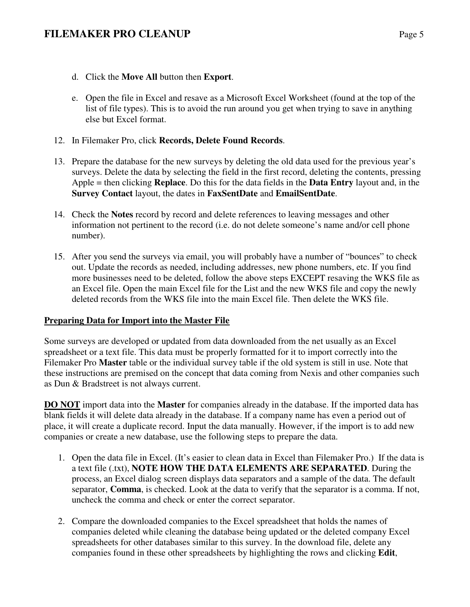# **FILEMAKER PRO CLEANUP** Page 5

- d. Click the **Move All** button then **Export**.
- e. Open the file in Excel and resave as a Microsoft Excel Worksheet (found at the top of the list of file types). This is to avoid the run around you get when trying to save in anything else but Excel format.
- 12. In Filemaker Pro, click **Records, Delete Found Records**.
- 13. Prepare the database for the new surveys by deleting the old data used for the previous year's surveys. Delete the data by selecting the field in the first record, deleting the contents, pressing Apple = then clicking **Replace**. Do this for the data fields in the **Data Entry** layout and, in the **Survey Contact** layout, the dates in **FaxSentDate** and **EmailSentDate**.
- 14. Check the **Notes** record by record and delete references to leaving messages and other information not pertinent to the record (i.e. do not delete someone's name and/or cell phone number).
- 15. After you send the surveys via email, you will probably have a number of "bounces" to check out. Update the records as needed, including addresses, new phone numbers, etc. If you find more businesses need to be deleted, follow the above steps EXCEPT resaving the WKS file as an Excel file. Open the main Excel file for the List and the new WKS file and copy the newly deleted records from the WKS file into the main Excel file. Then delete the WKS file.

#### **Preparing Data for Import into the Master File**

Some surveys are developed or updated from data downloaded from the net usually as an Excel spreadsheet or a text file. This data must be properly formatted for it to import correctly into the Filemaker Pro **Master** table or the individual survey table if the old system is still in use. Note that these instructions are premised on the concept that data coming from Nexis and other companies such as Dun & Bradstreet is not always current.

**DO NOT** import data into the **Master** for companies already in the database. If the imported data has blank fields it will delete data already in the database. If a company name has even a period out of place, it will create a duplicate record. Input the data manually. However, if the import is to add new companies or create a new database, use the following steps to prepare the data.

- 1. Open the data file in Excel. (It's easier to clean data in Excel than Filemaker Pro.) If the data is a text file (.txt), **NOTE HOW THE DATA ELEMENTS ARE SEPARATED**. During the process, an Excel dialog screen displays data separators and a sample of the data. The default separator, **Comma**, is checked. Look at the data to verify that the separator is a comma. If not, uncheck the comma and check or enter the correct separator.
- 2. Compare the downloaded companies to the Excel spreadsheet that holds the names of companies deleted while cleaning the database being updated or the deleted company Excel spreadsheets for other databases similar to this survey. In the download file, delete any companies found in these other spreadsheets by highlighting the rows and clicking **Edit**,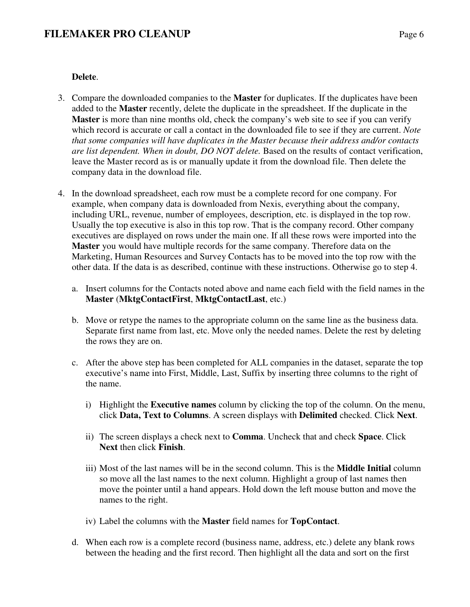## **Delete**.

- 3. Compare the downloaded companies to the **Master** for duplicates. If the duplicates have been added to the **Master** recently, delete the duplicate in the spreadsheet. If the duplicate in the **Master** is more than nine months old, check the company's web site to see if you can verify which record is accurate or call a contact in the downloaded file to see if they are current. *Note that some companies will have duplicates in the Master because their address and/or contacts are list dependent. When in doubt, DO NOT delete.* Based on the results of contact verification, leave the Master record as is or manually update it from the download file. Then delete the company data in the download file.
- 4. In the download spreadsheet, each row must be a complete record for one company. For example, when company data is downloaded from Nexis, everything about the company, including URL, revenue, number of employees, description, etc. is displayed in the top row. Usually the top executive is also in this top row. That is the company record. Other company executives are displayed on rows under the main one. If all these rows were imported into the **Master** you would have multiple records for the same company. Therefore data on the Marketing, Human Resources and Survey Contacts has to be moved into the top row with the other data. If the data is as described, continue with these instructions. Otherwise go to step 4.
	- a. Insert columns for the Contacts noted above and name each field with the field names in the **Master** (**MktgContactFirst**, **MktgContactLast**, etc.)
	- b. Move or retype the names to the appropriate column on the same line as the business data. Separate first name from last, etc. Move only the needed names. Delete the rest by deleting the rows they are on.
	- c. After the above step has been completed for ALL companies in the dataset, separate the top executive's name into First, Middle, Last, Suffix by inserting three columns to the right of the name.
		- i) Highlight the **Executive names** column by clicking the top of the column. On the menu, click **Data, Text to Columns**. A screen displays with **Delimited** checked. Click **Next**.
		- ii) The screen displays a check next to **Comma**. Uncheck that and check **Space**. Click **Next** then click **Finish**.
		- iii) Most of the last names will be in the second column. This is the **Middle Initial** column so move all the last names to the next column. Highlight a group of last names then move the pointer until a hand appears. Hold down the left mouse button and move the names to the right.
		- iv) Label the columns with the **Master** field names for **TopContact**.
	- d. When each row is a complete record (business name, address, etc.) delete any blank rows between the heading and the first record. Then highlight all the data and sort on the first